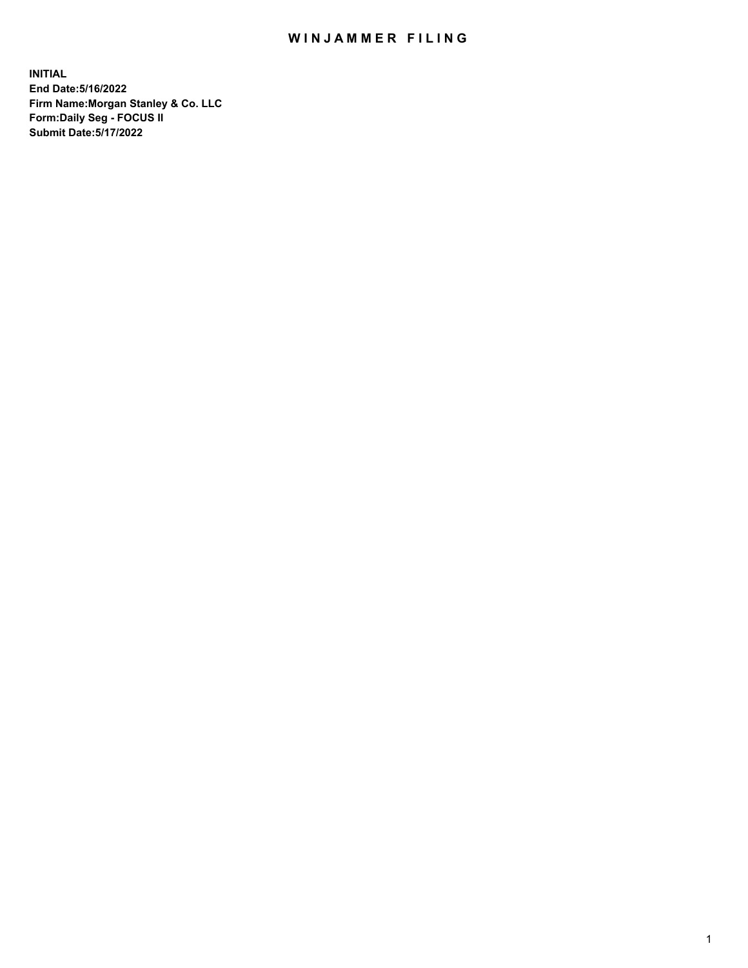## WIN JAMMER FILING

**INITIAL End Date:5/16/2022 Firm Name:Morgan Stanley & Co. LLC Form:Daily Seg - FOCUS II Submit Date:5/17/2022**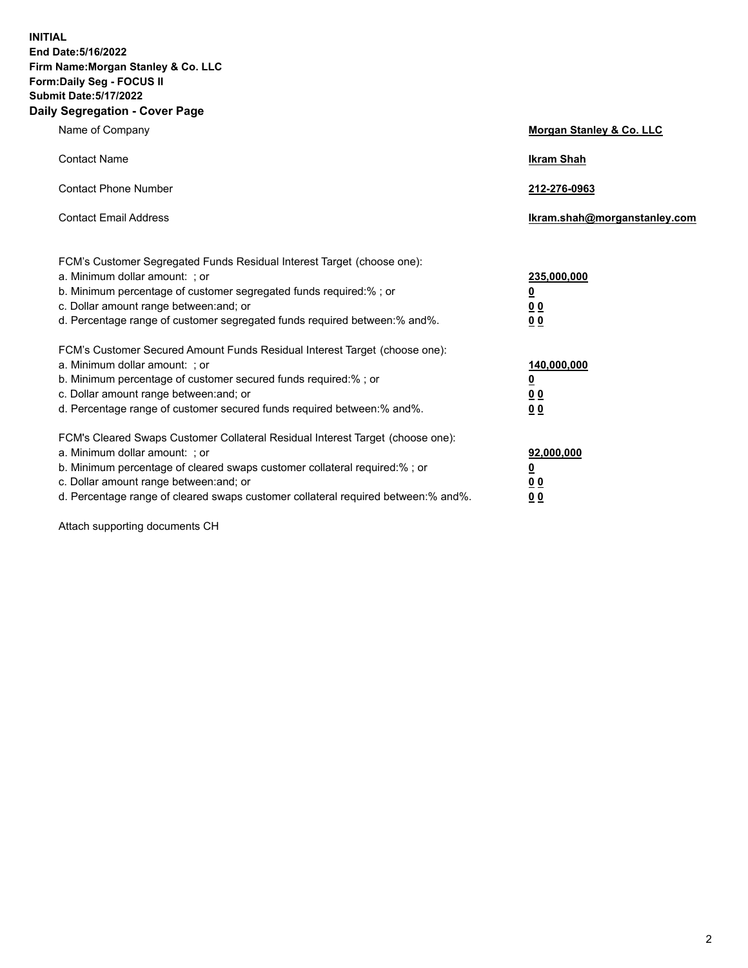**INITIAL End Date:5/16/2022 Firm Name:Morgan Stanley & Co. LLC Form:Daily Seg - FOCUS II Submit Date:5/17/2022 Daily Segregation - Cover Page**

| Name of Company                                                                                                                                                                                                                                                                                                                | Morgan Stanley & Co. LLC                               |
|--------------------------------------------------------------------------------------------------------------------------------------------------------------------------------------------------------------------------------------------------------------------------------------------------------------------------------|--------------------------------------------------------|
| <b>Contact Name</b>                                                                                                                                                                                                                                                                                                            | <b>Ikram Shah</b>                                      |
| <b>Contact Phone Number</b>                                                                                                                                                                                                                                                                                                    | 212-276-0963                                           |
| <b>Contact Email Address</b>                                                                                                                                                                                                                                                                                                   | Ikram.shah@morganstanley.com                           |
| FCM's Customer Segregated Funds Residual Interest Target (choose one):<br>a. Minimum dollar amount: ; or<br>b. Minimum percentage of customer segregated funds required:% ; or<br>c. Dollar amount range between: and; or<br>d. Percentage range of customer segregated funds required between:% and%.                         | 235,000,000<br><u>0</u><br>0 <sup>0</sup><br><u>00</u> |
| FCM's Customer Secured Amount Funds Residual Interest Target (choose one):<br>a. Minimum dollar amount: ; or<br>b. Minimum percentage of customer secured funds required:% ; or<br>c. Dollar amount range between: and; or<br>d. Percentage range of customer secured funds required between:% and%.                           | 140,000,000<br><u>0</u><br><u>00</u><br>00             |
| FCM's Cleared Swaps Customer Collateral Residual Interest Target (choose one):<br>a. Minimum dollar amount: ; or<br>b. Minimum percentage of cleared swaps customer collateral required:% ; or<br>c. Dollar amount range between: and; or<br>d. Percentage range of cleared swaps customer collateral required between:% and%. | 92,000,000<br><u>0</u><br><u>00</u><br>00              |

Attach supporting documents CH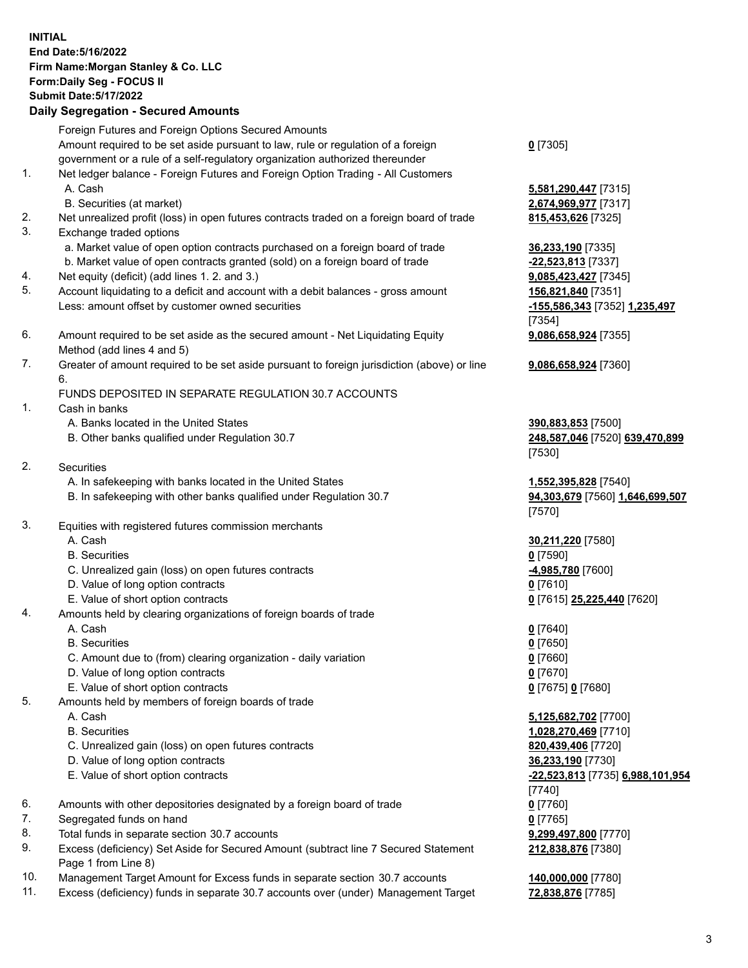## **INITIAL End Date:5/16/2022 Firm Name:Morgan Stanley & Co. LLC Form:Daily Seg - FOCUS II Submit Date:5/17/2022 Daily Segregation - Secured Amounts** Foreign Futures and Foreign Options Secured Amounts Amount required to be set aside pursuant to law, rule or regulation of a foreign government or a rule of a self-regulatory organization authorized thereunder 1. Net ledger balance - Foreign Futures and Foreign Option Trading - All Customers A. Cash **5,581,290,447** [7315] B. Securities (at market) **2,674,969,977** [7317]

- 2. Net unrealized profit (loss) in open futures contracts traded on a foreign board of trade **815,453,626** [7325]
- 3. Exchange traded options
	- a. Market value of open option contracts purchased on a foreign board of trade **36,233,190** [7335]
	- b. Market value of open contracts granted (sold) on a foreign board of trade **-22,523,813** [7337]
- 4. Net equity (deficit) (add lines 1. 2. and 3.) **9,085,423,427** [7345]
- 5. Account liquidating to a deficit and account with a debit balances gross amount **156,821,840** [7351] Less: amount offset by customer owned securities **-155,586,343** [7352] **1,235,497**
- 6. Amount required to be set aside as the secured amount Net Liquidating Equity Method (add lines 4 and 5)
- 7. Greater of amount required to be set aside pursuant to foreign jurisdiction (above) or line 6.

## FUNDS DEPOSITED IN SEPARATE REGULATION 30.7 ACCOUNTS

- 1. Cash in banks
	- A. Banks located in the United States **390,883,853** [7500]
	- B. Other banks qualified under Regulation 30.7 **248,587,046** [7520] **639,470,899**
- 2. Securities
	- A. In safekeeping with banks located in the United States **1,552,395,828** [7540]
	- B. In safekeeping with other banks qualified under Regulation 30.7 **94,303,679** [7560] **1,646,699,507**
- 3. Equities with registered futures commission merchants
	-
	- B. Securities **0** [7590]
	- C. Unrealized gain (loss) on open futures contracts **-4,985,780** [7600]
	- D. Value of long option contracts **0** [7610]
	- E. Value of short option contracts **0** [7615] **25,225,440** [7620]
- 4. Amounts held by clearing organizations of foreign boards of trade
	- A. Cash **0** [7640]
	- B. Securities **0** [7650]
	- C. Amount due to (from) clearing organization daily variation **0** [7660]
	- D. Value of long option contracts **0** [7670]
	- E. Value of short option contracts **0** [7675] **0** [7680]
- 5. Amounts held by members of foreign boards of trade
	-
	-
	- C. Unrealized gain (loss) on open futures contracts **820,439,406** [7720]
	- D. Value of long option contracts **36,233,190** [7730]
	-
- 6. Amounts with other depositories designated by a foreign board of trade **0** [7760]
- 7. Segregated funds on hand **0** [7765]
- 8. Total funds in separate section 30.7 accounts **9,299,497,800** [7770]
- 9. Excess (deficiency) Set Aside for Secured Amount (subtract line 7 Secured Statement Page 1 from Line 8)
- 10. Management Target Amount for Excess funds in separate section 30.7 accounts **140,000,000** [7780]
- 11. Excess (deficiency) funds in separate 30.7 accounts over (under) Management Target **72,838,876** [7785]

**0** [7305]

[7354] **9,086,658,924** [7355]

**9,086,658,924** [7360]

[7530]

[7570]

A. Cash **30,211,220** [7580]

 A. Cash **5,125,682,702** [7700] B. Securities **1,028,270,469** [7710] E. Value of short option contracts **-22,523,813** [7735] **6,988,101,954** [7740] **212,838,876** [7380]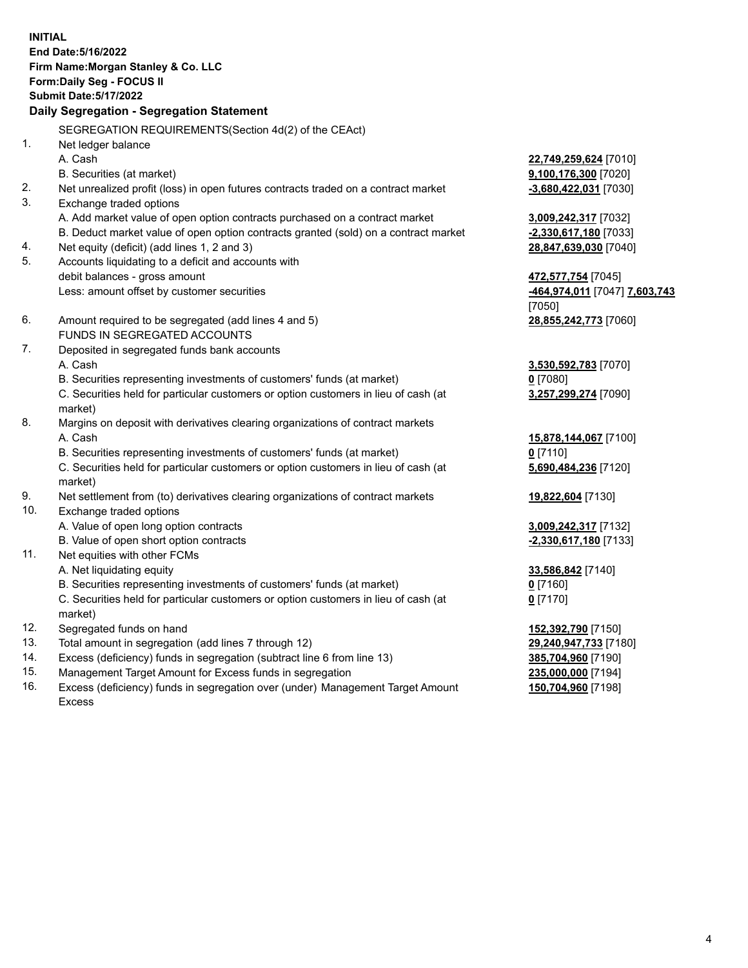**INITIAL End Date:5/16/2022 Firm Name:Morgan Stanley & Co. LLC Form:Daily Seg - FOCUS II Submit Date:5/17/2022 Daily Segregation - Segregation Statement** SEGREGATION REQUIREMENTS(Section 4d(2) of the CEAct) 1. Net ledger balance A. Cash **22,749,259,624** [7010] B. Securities (at market) **9,100,176,300** [7020] 2. Net unrealized profit (loss) in open futures contracts traded on a contract market **-3,680,422,031** [7030] 3. Exchange traded options A. Add market value of open option contracts purchased on a contract market **3,009,242,317** [7032] B. Deduct market value of open option contracts granted (sold) on a contract market **-2,330,617,180** [7033] 4. Net equity (deficit) (add lines 1, 2 and 3) **28,847,639,030** [7040] 5. Accounts liquidating to a deficit and accounts with debit balances - gross amount **472,577,754** [7045] Less: amount offset by customer securities **-464,974,011** [7047] **7,603,743** [7050] 6. Amount required to be segregated (add lines 4 and 5) **28,855,242,773** [7060] FUNDS IN SEGREGATED ACCOUNTS 7. Deposited in segregated funds bank accounts A. Cash **3,530,592,783** [7070] B. Securities representing investments of customers' funds (at market) **0** [7080] C. Securities held for particular customers or option customers in lieu of cash (at market) **3,257,299,274** [7090] 8. Margins on deposit with derivatives clearing organizations of contract markets A. Cash **15,878,144,067** [7100] B. Securities representing investments of customers' funds (at market) **0** [7110] C. Securities held for particular customers or option customers in lieu of cash (at market) **5,690,484,236** [7120] 9. Net settlement from (to) derivatives clearing organizations of contract markets **19,822,604** [7130] 10. Exchange traded options A. Value of open long option contracts **3,009,242,317** [7132] B. Value of open short option contracts **-2,330,617,180** [7133] 11. Net equities with other FCMs A. Net liquidating equity **33,586,842** [7140] B. Securities representing investments of customers' funds (at market) **0** [7160] C. Securities held for particular customers or option customers in lieu of cash (at market) **0** [7170] 12. Segregated funds on hand **152,392,790** [7150] 13. Total amount in segregation (add lines 7 through 12) **29,240,947,733** [7180] 14. Excess (deficiency) funds in segregation (subtract line 6 from line 13) **385,704,960** [7190] 15. Management Target Amount for Excess funds in segregation **235,000,000** [7194]

16. Excess (deficiency) funds in segregation over (under) Management Target Amount Excess

**150,704,960** [7198]